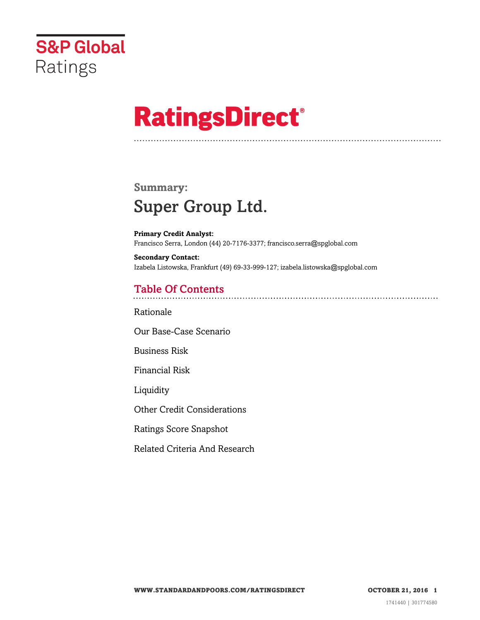

# **RatingsDirect®**

## **Summary:** Super Group Ltd.

**Primary Credit Analyst:** Francisco Serra, London (44) 20-7176-3377; francisco.serra@spglobal.com

**Secondary Contact:** Izabela Listowska, Frankfurt (49) 69-33-999-127; izabela.listowska@spglobal.com

## Table Of Contents

[Rationale](#page-1-0)

[Our Base-Case Scenario](#page-1-1)

[Business Risk](#page-2-0)

[Financial Risk](#page-2-1)

[Liquidity](#page-3-0)

[Other Credit Considerations](#page-3-1)

[Ratings Score Snapshot](#page-3-2)

[Related Criteria And Research](#page-4-0)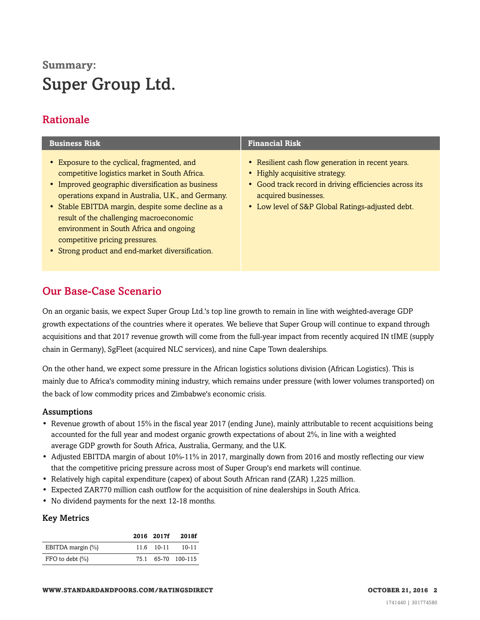# **Summary:** Super Group Ltd.

## <span id="page-1-0"></span>Rationale

| <b>Business Risk</b>                                                                                                                                                                                                                                                                                                                                                                                                                     | <b>Financial Risk</b>                                                                                                                                                                                                     |
|------------------------------------------------------------------------------------------------------------------------------------------------------------------------------------------------------------------------------------------------------------------------------------------------------------------------------------------------------------------------------------------------------------------------------------------|---------------------------------------------------------------------------------------------------------------------------------------------------------------------------------------------------------------------------|
| • Exposure to the cyclical, fragmented, and<br>competitive logistics market in South Africa.<br>• Improved geographic diversification as business<br>operations expand in Australia, U.K., and Germany.<br>• Stable EBITDA margin, despite some decline as a<br>result of the challenging macroeconomic<br>environment in South Africa and ongoing<br>competitive pricing pressures.<br>• Strong product and end-market diversification. | • Resilient cash flow generation in recent years.<br>• Highly acquisitive strategy.<br>• Good track record in driving efficiencies across its<br>acquired businesses.<br>• Low level of S&P Global Ratings-adjusted debt. |

#### <span id="page-1-1"></span>Our Base-Case Scenario

On an organic basis, we expect Super Group Ltd.'s top line growth to remain in line with weighted-average GDP growth expectations of the countries where it operates. We believe that Super Group will continue to expand through acquisitions and that 2017 revenue growth will come from the full-year impact from recently acquired IN tIME (supply chain in Germany), SgFleet (acquired NLC services), and nine Cape Town dealerships.

On the other hand, we expect some pressure in the African logistics solutions division (African Logistics). This is mainly due to Africa's commodity mining industry, which remains under pressure (with lower volumes transported) on the back of low commodity prices and Zimbabwe's economic crisis.

#### Assumptions

- Revenue growth of about 15% in the fiscal year 2017 (ending June), mainly attributable to recent acquisitions being accounted for the full year and modest organic growth expectations of about 2%, in line with a weighted average GDP growth for South Africa, Australia, Germany, and the U.K.
- Adjusted EBITDA margin of about 10%-11% in 2017, marginally down from 2016 and mostly reflecting our view that the competitive pricing pressure across most of Super Group's end markets will continue.
- Relatively high capital expenditure (capex) of about South African rand (ZAR) 1,225 million.
- Expected ZAR770 million cash outflow for the acquisition of nine dealerships in South Africa.
- No dividend payments for the next 12-18 months.

#### Key Metrics

|                     | 2016 2017f | 2018f              |
|---------------------|------------|--------------------|
| EBITDA margin (%)   | 11.6 10-11 | 10-11              |
| FFO to debt $(\% )$ |            | 75.1 65-70 100-115 |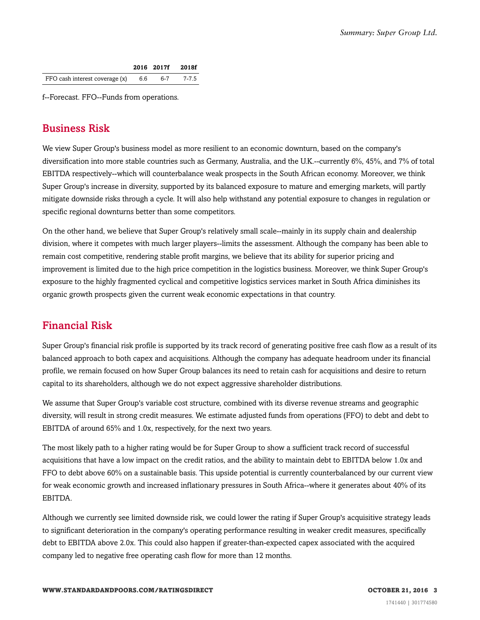|                                      |     | 2016 2017f 2018f |
|--------------------------------------|-----|------------------|
| FFO cash interest coverage $(x)$ 6.6 | 6-7 | 7-7.5            |

<span id="page-2-0"></span>f--Forecast. FFO--Funds from operations.

### Business Risk

We view Super Group's business model as more resilient to an economic downturn, based on the company's diversification into more stable countries such as Germany, Australia, and the U.K.--currently 6%, 45%, and 7% of total EBITDA respectively--which will counterbalance weak prospects in the South African economy. Moreover, we think Super Group's increase in diversity, supported by its balanced exposure to mature and emerging markets, will partly mitigate downside risks through a cycle. It will also help withstand any potential exposure to changes in regulation or specific regional downturns better than some competitors.

On the other hand, we believe that Super Group's relatively small scale--mainly in its supply chain and dealership division, where it competes with much larger players--limits the assessment. Although the company has been able to remain cost competitive, rendering stable profit margins, we believe that its ability for superior pricing and improvement is limited due to the high price competition in the logistics business. Moreover, we think Super Group's exposure to the highly fragmented cyclical and competitive logistics services market in South Africa diminishes its organic growth prospects given the current weak economic expectations in that country.

#### <span id="page-2-1"></span>Financial Risk

Super Group's financial risk profile is supported by its track record of generating positive free cash flow as a result of its balanced approach to both capex and acquisitions. Although the company has adequate headroom under its financial profile, we remain focused on how Super Group balances its need to retain cash for acquisitions and desire to return capital to its shareholders, although we do not expect aggressive shareholder distributions.

We assume that Super Group's variable cost structure, combined with its diverse revenue streams and geographic diversity, will result in strong credit measures. We estimate adjusted funds from operations (FFO) to debt and debt to EBITDA of around 65% and 1.0x, respectively, for the next two years.

The most likely path to a higher rating would be for Super Group to show a sufficient track record of successful acquisitions that have a low impact on the credit ratios, and the ability to maintain debt to EBITDA below 1.0x and FFO to debt above 60% on a sustainable basis. This upside potential is currently counterbalanced by our current view for weak economic growth and increased inflationary pressures in South Africa--where it generates about 40% of its EBITDA.

Although we currently see limited downside risk, we could lower the rating if Super Group's acquisitive strategy leads to significant deterioration in the company's operating performance resulting in weaker credit measures, specifically debt to EBITDA above 2.0x. This could also happen if greater-than-expected capex associated with the acquired company led to negative free operating cash flow for more than 12 months.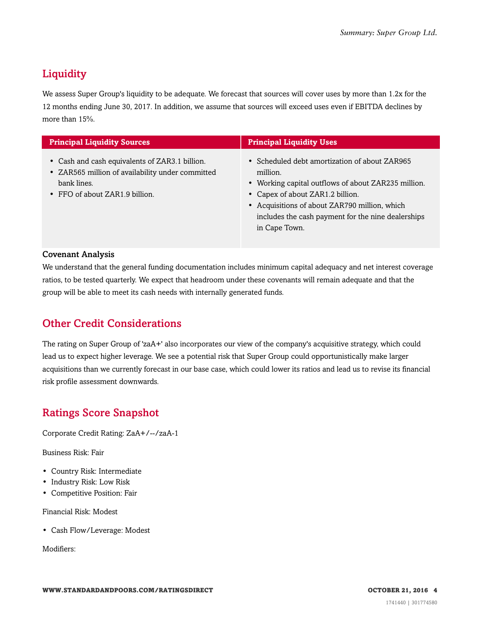## <span id="page-3-0"></span>**Liquidity**

We assess Super Group's liquidity to be adequate. We forecast that sources will cover uses by more than 1.2x for the 12 months ending June 30, 2017. In addition, we assume that sources will exceed uses even if EBITDA declines by more than 15%.

| <b>Principal Liquidity Sources</b>                                                                                                                  | <b>Principal Liquidity Uses</b>                                                                                                                                                                                                                                              |
|-----------------------------------------------------------------------------------------------------------------------------------------------------|------------------------------------------------------------------------------------------------------------------------------------------------------------------------------------------------------------------------------------------------------------------------------|
| • Cash and cash equivalents of ZAR3.1 billion.<br>• ZAR565 million of availability under committed<br>bank lines.<br>• FFO of about ZAR1.9 billion. | • Scheduled debt amortization of about ZAR965<br>million.<br>• Working capital outflows of about ZAR235 million.<br>• Capex of about ZAR1.2 billion.<br>• Acquisitions of about ZAR790 million, which<br>includes the cash payment for the nine dealerships<br>in Cape Town. |

#### Covenant Analysis

We understand that the general funding documentation includes minimum capital adequacy and net interest coverage ratios, to be tested quarterly. We expect that headroom under these covenants will remain adequate and that the group will be able to meet its cash needs with internally generated funds.

#### <span id="page-3-1"></span>Other Credit Considerations

The rating on Super Group of 'zaA+' also incorporates our view of the company's acquisitive strategy, which could lead us to expect higher leverage. We see a potential risk that Super Group could opportunistically make larger acquisitions than we currently forecast in our base case, which could lower its ratios and lead us to revise its financial risk profile assessment downwards.

#### <span id="page-3-2"></span>Ratings Score Snapshot

Corporate Credit Rating: ZaA+/--/zaA-1

Business Risk: Fair

- Country Risk: Intermediate
- Industry Risk: Low Risk
- Competitive Position: Fair

Financial Risk: Modest

• Cash Flow/Leverage: Modest

Modifiers: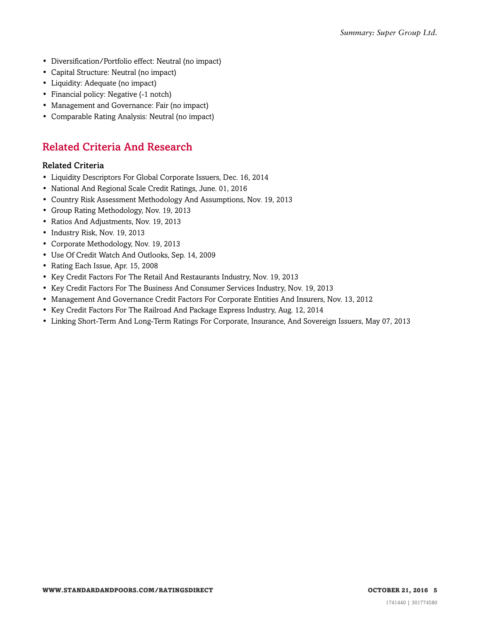- Diversification/Portfolio effect: Neutral (no impact)
- Capital Structure: Neutral (no impact)
- Liquidity: Adequate (no impact)
- Financial policy: Negative (-1 notch)
- Management and Governance: Fair (no impact)
- <span id="page-4-0"></span>• Comparable Rating Analysis: Neutral (no impact)

#### Related Criteria And Research

#### Related Criteria

- Liquidity Descriptors For Global Corporate Issuers, Dec. 16, 2014
- National And Regional Scale Credit Ratings, June. 01, 2016
- Country Risk Assessment Methodology And Assumptions, Nov. 19, 2013
- Group Rating Methodology, Nov. 19, 2013
- Ratios And Adjustments, Nov. 19, 2013
- Industry Risk, Nov. 19, 2013
- Corporate Methodology, Nov. 19, 2013
- Use Of Credit Watch And Outlooks, Sep. 14, 2009
- Rating Each Issue, Apr. 15, 2008
- Key Credit Factors For The Retail And Restaurants Industry, Nov. 19, 2013
- Key Credit Factors For The Business And Consumer Services Industry, Nov. 19, 2013
- Management And Governance Credit Factors For Corporate Entities And Insurers, Nov. 13, 2012
- Key Credit Factors For The Railroad And Package Express Industry, Aug. 12, 2014
- Linking Short-Term And Long-Term Ratings For Corporate, Insurance, And Sovereign Issuers, May 07, 2013